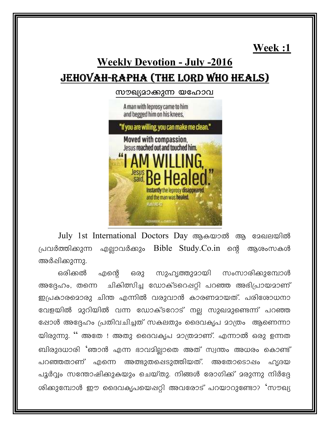<u>Week:1</u>

# **Weekly Devotion - July -2016** <u>JEHOVAH-RAPHA (THE LORD WHO HEALS)</u>

സൗഖ്യമാക്കുന്ന യഹോവ

A man with leprosy came to him and begged him on his knees.



July 1st International Doctors Day ആകയാൽ ആ മേഖലയിൽ പ്രവർത്തിക്കുന്ന എല്ലാവർക്കും Bible Study.Co.in ന്റെ ആശംസകൾ അർഷിക്കുന്നു.

ഒരിക്കൽ ഒരു സുഹൃത്തുമായി സംസാരിക്കുമ്പോൾ എന്റെ ചികിത്സിച്ച ഡോക്ടറെപ്പറ്റി പറഞ്ഞ അഭിപ്രായമാണ് അദ്ദേഹം, തന്നെ ഇപ്രകാരമൊരു ചിന്ത എന്നിൽ വരുവാൻ കാരണമായത്. പരിശോധനാ വേളയിൽ മുറിയിൽ വന്ന ഡോക്ടറോട് നല്ല സുഖമുണ്ടെന്ന് പറഞ്ഞ ഷോൾ അദ്ദേഹം പ്രതിവചിച്ചത് സകലതും ദൈവകൃപ മാത്രം ആണെന്നാ യിരുന്നു. '' അതേ ! അതു ദൈവകൃപ മാത്രമാണ്. എന്നാൽ ഒരു ഉന്നത ബിരുദധാരി 'ഞാൻ എന്ന ഭാവമില്ലാതെ അത് സ്വന്തം അധരം കൊണ്ട് പറഞ്ഞതാണ് എന്നെ അത്ഭുതപ്പെടുത്തിയത്. അതോടൊഷം ഹൃദയ പൂർവ്വം സന്തോഷിക്കുകയും ചെയ്തു. നിങ്ങൾ രോഗിക്ക് മരുന്നു നിർദ്ദേ ശിക്കുമ്പോൾ ഈ ദൈവകൃപയെപ്പറ്റി അവരോട് പറയാറുണ്ടോ? 'സൗഖ്യ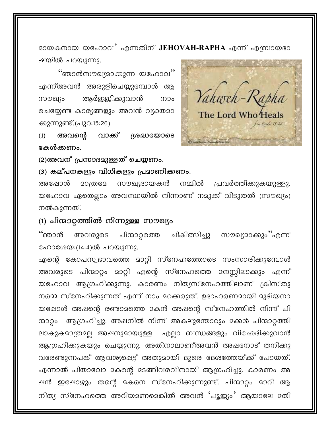ദായകനായ യഹോവ<sup>2</sup> എന്നതിന് JEHOVAH-RAPHA എന്ന് എബ്രായഭാ ഷയിൽ പറയുന്നു.

<mark>'</mark>'ഞാൻസൗഖ്യമാക്കുന്ന യഹോവ'' എന്ന്അവൻ അരുളിചെയ്യുമ്പോൾ ആ ആർജ്ജിക്കുവാൻ സൗഖ്യം നാം ചെയ്യേണ്ട കാര്യങ്ങളും അവൻ വ്യക്തമാ ക്കുന്നുണ്ട്.(പുറ:15:26)

അവന്റെ  $(1)$ വാക്ക് ശദ്ധയോടെ കേൾക്കണം.

(2)അവന് പ്രസാദമുള്ളത് ചെയ്യണം.

(3) കല്പനകളും വിധികളും പ്രമാണിക്കണം.

പ്രവർത്തിക്കുകയുള്ളു. നമ്മിൽ അഷോൾ 20ത്ര2േ സൗഖ്യദായകൻ യഹോവ ഏതെല്ലാം അവസ്ഥയിൽ നിന്നാണ് നമുക്ക് വിടുതൽ (സൗഖ്യം) നൽകുന്നത്.

## (1) പിന്മാറ്റത്തിൽ നിന്നുള്ള സൗഖ്യം

്ഞാൻ സൗഖ്യമാക്കും''എന്ന് അവരുടെ പിന്മാറ്റത്തെ ചികിത്സിച്ചു ഹോശേയ:(14:4)ൽ പറയുന്നു.

എന്റെ കോപസ്വഭാവത്തെ മാറ്റി സ്നേഹത്തോടെ സംസാരിക്കുമ്പോൾ അവരുടെ പിന്മാറ്റം മാറ്റി എന്റെ സ്നേഹത്തെ മനസ്സിലാകും എന്ന് യഹോവ ആഗ്രഹിക്കുന്നു. കാരണം നിത്യസ്നേഹത്തിലാണ് ക്രിസ്തു നമ്മെ സ്നേഹിക്കുന്നത് എന്ന് നാം മറക്കരുത്. ഉദാഹരണമായി മുടിയനാ യപ്പോൾ അപ്പന്റെ രണ്ടാമത്തെ മകൻ അപ്പന്റെ സ്നേഹത്തിൽ നിന്ന് പി ആഗ്രഹിച്ചു. അഷനിൽ നിന്ന് അകലുന്തോറും മക്കൾ പിന്മാറ്റത്തി ന്മാറ്റം എല്ലാ ബന്ധങ്ങളും വിഛേദിക്കുവാൻ ലാകുകമാത്രമല്ല അഷനുമായുള്ള ആഗ്രഹിക്കുകയും ചെയ്യുന്നു. അതിനാലാണ്അവൻ അഷനോട് തനിക്കു വരേണ്ടുന്നപങ്ക് ആവശ്യപ്പെട്ട് അതുമായി ദൂരെ ദേശത്തേയ്ക്ക് പോയത്. എന്നാൽ പിതാവോ മകന്റെ മടങ്ങിവരവിനായി ആഗ്രഹിച്ചു. കാരണം അ ഷൻ ഇഷോഴും തന്റെ മകനെ സ്നേഹിക്കുന്നുണ്ട്. പിന്മാറ്റം മാറി ആ നിത്യ സ്നേഹത്തെ അറിയമണമെങ്കിൽ അവൻ 'പൂജ്യം' ആയാലേ മതി

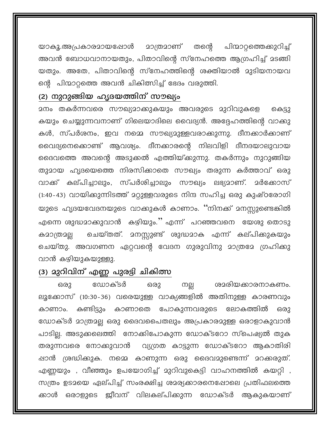പിന്മാറ്റത്തെക്കുറിച്ച് <u> 20ത്ര</u>20ണ് തന്റെ യാകൂ.അപ്രകാരമായപ്പോൾ അവൻ ബോധവാനായതും, പിതാവിന്റെ സ്നേഹത്തെ ആഗ്രഹിച്ച് മടങ്ങി യതും. അതേ, പിതാവിന്റെ സ്നേഹത്തിന്റെ ശക്തിയാൽ മുടിയനായവ ന്റെ പിന്മാറ്റത്തെ അവൻ ചികിത്സിച്ച് ഭേദം വരുത്തി.

### (2) നുറുങ്ങിയ ഹൃദയത്തിന് സൗഖ്യം

കെട്ടു കയും ചെയ്യുന്നവനാണ് ഗിലെയാദിലെ വൈദ്യൻ. അദ്ദേഹത്തിന്റെ വാക്കു കൾ, സ്പർശനം, ഇവ നമ്മെ സൗഖ്യമുള്ളവരാക്കുന്നു. ദീനക്കാർക്കാണ് വൈദ്യനെക്കൊണ്ട് ആവശ്യം. ദീനക്കാരന്റെ നിലവിളി ദീനദയാലുവായ ദൈവത്തെ അവന്റെ അടുക്കൽ എത്തിയ്ക്കുന്നു. തകർന്നും നുറുങ്ങിയ തുമായ ഹൃദയെത്തെ നിരസിക്കാതെ സൗഖ്യം തരുന്ന കർത്താവ് ഒരു വാക്ക് കല്പിച്ചാലും, സ്പർശിച്ചാലും സൗഖ്യം ലഭ്യമാണ്. <u> </u>ർക്കോസ് (1:40-43) വായിക്കുന്നിടത്ത് മറ്റുള്ളവരുടെ നിന്ദ സഹിച്ച ഒരു കുഷ്ഠരോഗി യുടെ ഹൃദയവേദനയുടെ വാക്കുകൾ കാണാം. ''നിനക്ക് മനസ്സുണ്ടെങ്കിൽ എന്നെ ശുദ്ധമാക്കുവാൻ കഴിയും.'' എന്ന് പറഞ്ഞവനെ യേശു തൊടു കമാത്രമല്ല ചെയ്തു. അവഗണന ഏറ്റവന്റെ വേദന ഗുരുവിനു മാത്രമേ ഗ്രഹിക്കു വാൻ കഴിയുകയുള്ളു.

### (3) മുറിവിന് എണ്ണ പുരട്ടി ചികിത്സ

ഒരു ഡോക്ടർ ശമരിയക്കാരനാകണം. നല്ല ഒരു ലൂക്കോസ് (10:30-36) വരെയുള്ള വാക്യങ്ങളിൽ അതിനുള്ള കാരണവും കാണാം. കണ്ടിട്ടും കാണാതെ പോകുന്നവരുടെ ലോകത്തിൽ ഒരു ഡോക്ടർ മാത്രമല്ല ഒരു ദൈവപൈതലും അപ്രകാരമുള്ള ഒരാളാകുവാൻ പാടില്ല. അടുക്കലെത്തി നോക്കിപോകുന്ന ഡോക്ടറോ സ്പെഷ്യൽ തുക തരുന്നവരെ നോക്കുവാൻ വ്യഗ്രത കാട്ടുന്ന ഡോക്ടറോ ആകാതിരി ഷാൻ ശ്രദ്ധിക്കുക. നമ്മെ കാണുന്ന ഒരു ദൈവമുണ്ടെന്ന് മറക്കരുത്. എണ്ണയും , വീഞ്ഞും ഉപയോഗിച്ച് മുറിവുകെട്ടി വാഹനത്തിൽ കയറ്റി , സത്രം ഉടമയെ ഏല്പിച്ച് സംരക്ഷിച്ച ശമര്യക്കാരനെഷോലെ പ്രതിഫലത്തെ ക്കാൾ ഒരാളുടെ ജീവന് വിലകല്പിക്കുന്ന ഡോക്ടർ ആകുകയാണ്